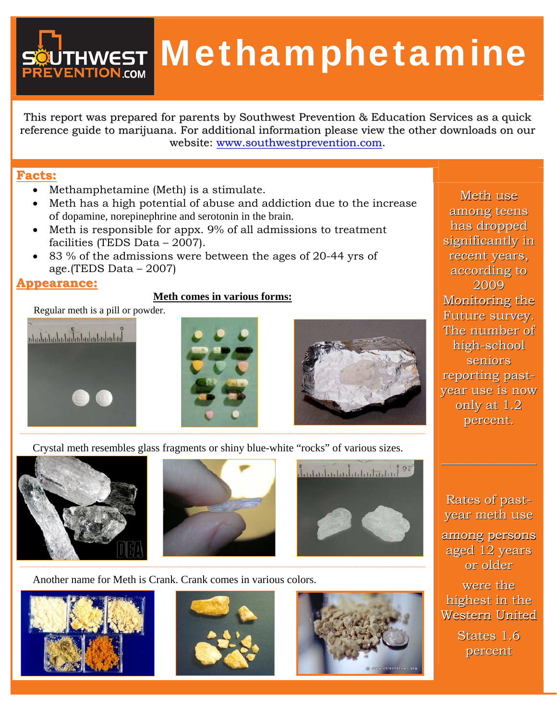# SÖUTHWEST Methamphetamine

This report was prepared for parents by Southwest Prevention & Education Services as a quick reference guide to marijuana. For additional information please view the other downloads on our website: www.southwestprevention.com.

#### **Facts:**

- Methamphetamine (Meth) is a stimulate.
- Meth has a high potential of abuse and addiction due to the increase of dopamine, norepinephrine and serotonin in the brain.
- Meth is responsible for appx. 9% of all admissions to treatment facilities (TEDS Data – 2007).
- 83 % of the admissions were between the ages of 20-44 yrs of age.(TEDS Data – 2007)

#### **Appearance:**

#### **Meth comes in various forms:**

Regular meth is a pill or powder.







Crystal meth resembles glass fragments or shiny blue-white "rocks" of various sizes.







Another name for Meth is Crank. Crank comes in various colors.







Meth use among teens has dropped significantly in recent years, according to 2009 Monitoring the Future survey. The number of high-school seniors reporting pastyear use is now only at 1.2 percent.

Rates of pastyear meth use among persons aged 12 years or older

 $\frac{1}{2}$  , where  $\frac{1}{2}$ 

were the highest in the Western United

> States 1.6 percent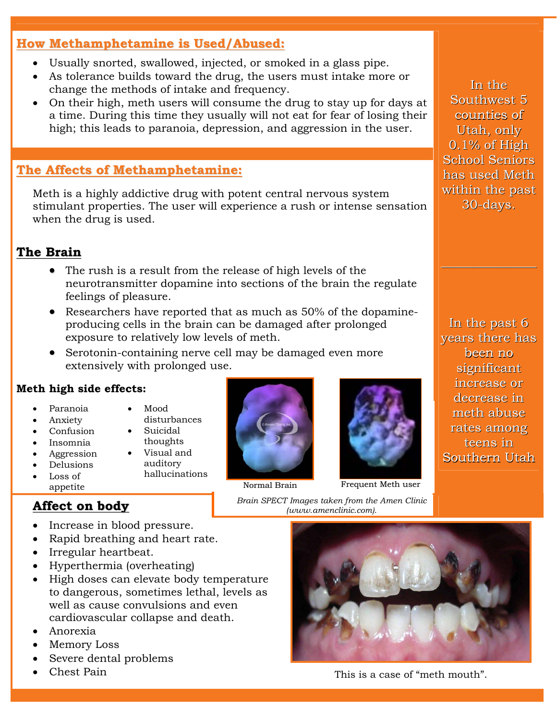## **How Methamphetamine is Used/Abused:**

- Usually snorted, swallowed, injected, or smoked in a glass pipe.
- As tolerance builds toward the drug, the users must intake more or change the methods of intake and frequency.
- On their high, meth users will consume the drug to stay up for days at a time. During this time they usually will not eat for fear of losing their high; this leads to paranoia, depression, and aggression in the user.

# **The Affects of Methamphetamine:**

Meth is a highly addictive drug with potent central nervous system stimulant properties. The user will experience a rush or intense sensation when the drug is used.

# **The Brain**

- The rush is a result from the release of high levels of the neurotransmitter dopamine into sections of the brain the regulate feelings of pleasure.
- Researchers have reported that as much as 50% of the dopamineproducing cells in the brain can be damaged after prolonged exposure to relatively low levels of meth.
- Serotonin-containing nerve cell may be damaged even more extensively with prolonged use.

#### **Meth high side effects:**

Paranoia

 Loss of appetite

- Anxiety Confusion
- disturbances Suicidal

Mood

- Insomnia Aggression thoughts Visual and
- Delusions auditory
	- hallucinations

- Increase in blood pressure.
- Rapid breathing and heart rate.
- Irregular heartbeat.
- Hyperthermia (overheating)
- High doses can elevate body temperature to dangerous, sometimes lethal, levels as well as cause convulsions and even cardiovascular collapse and death.
- Anorexia
- Memory Loss
- Severe dental problems
- 



Normal Brain Frequent Meth user

*(www.amenclinic.com).*

Southwest 5 counties of Utah, only 0.1% of High School Seniors has used Meth within the past 30-days.

In the

In the past 6 years there has been no significant increase or decrease in meth abuse rates among teens in Southern Utah

Chest Pain This is a case of "meth mouth".

**Affect on body** *Brain SPECT Images taken from the Amen Clinic*